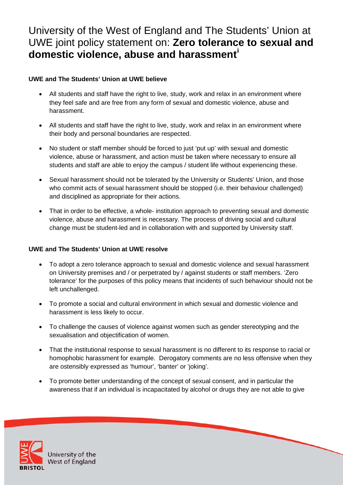# University of the West of England and The Students' Union at UWE joint policy statement on: **Zero tolerance to sexual and domestic violence, abuse and harassment[i](#page-3-0)**

## **UWE and The Students' Union at UWE believe**

- All students and staff have the right to live, study, work and relax in an environment where they feel safe and are free from any form of sexual and domestic violence, abuse and harassment.
- All students and staff have the right to live, study, work and relax in an environment where their body and personal boundaries are respected.
- No student or staff member should be forced to just 'put up' with sexual and domestic violence, abuse or harassment, and action must be taken where necessary to ensure all students and staff are able to enjoy the campus / student life without experiencing these.
- Sexual harassment should not be tolerated by the University or Students' Union, and those who commit acts of sexual harassment should be stopped (i.e. their behaviour challenged) and disciplined as appropriate for their actions.
- That in order to be effective, a whole- institution approach to preventing sexual and domestic violence, abuse and harassment is necessary. The process of driving social and cultural change must be student-led and in collaboration with and supported by University staff.

### **UWE and The Students' Union at UWE resolve**

- To adopt a zero tolerance approach to sexual and domestic violence and sexual harassment on University premises and / or perpetrated by / against students or staff members. 'Zero tolerance' for the purposes of this policy means that incidents of such behaviour should not be left unchallenged.
- To promote a social and cultural environment in which sexual and domestic violence and harassment is less likely to occur.
- To challenge the causes of violence against women such as gender stereotyping and the sexualisation and objectification of women.
- That the institutional response to sexual harassment is no different to its response to racial or homophobic harassment for example. Derogatory comments are no less offensive when they are ostensibly expressed as 'humour', 'banter' or 'joking'.
- To promote better understanding of the concept of sexual consent, and in particular the awareness that if an individual is incapacitated by alcohol or drugs they are not able to give



University of the **West of England**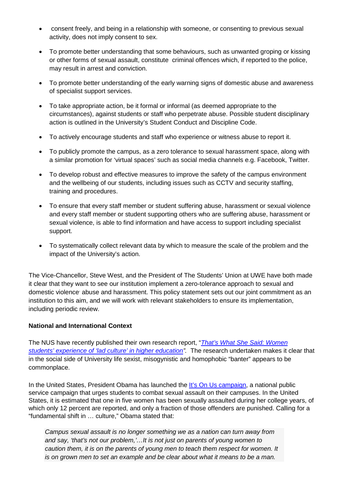- consent freely, and being in a relationship with someone, or consenting to previous sexual activity, does not imply consent to sex.
- To promote better understanding that some behaviours, such as unwanted groping or kissing or other forms of sexual assault, constitute criminal offences which, if reported to the police, may result in arrest and conviction.
- To promote better understanding of the early warning signs of domestic abuse and awareness of specialist support services.
- To take appropriate action, be it formal or informal (as deemed appropriate to the circumstances), against students or staff who perpetrate abuse. Possible student disciplinary action is outlined in the University's Student Conduct and Discipline Code.
- To actively encourage students and staff who experience or witness abuse to report it.
- To publicly promote the campus, as a zero tolerance to sexual harassment space, along with a similar promotion for 'virtual spaces' such as social media channels e.g. Facebook, Twitter.
- To develop robust and effective measures to improve the safety of the campus environment and the wellbeing of our students, including issues such as CCTV and security staffing, training and procedures.
- To ensure that every staff member or student suffering abuse, harassment or sexual violence and every staff member or student supporting others who are suffering abuse, harassment or sexual violence, is able to find information and have access to support including specialist support.
- To systematically collect relevant data by which to measure the scale of the problem and the impact of the University's action.

The Vice-Chancellor, Steve West, and the President of The Students' Union at UWE have both made it clear that they want to see our institution implement a zero-tolerance approach to sexual and domestic violence abuse and harassment. This policy statement sets out our joint commitment as an institution to this aim, and we will work with relevant stakeholders to ensure its implementation, including periodic review.

### **National and International Context**

The NUS have recently published their own research report, "*[That's What She Said: Women](http://www.nus.org.uk/en/nus-calls-for-summit-on-lad-culture/)  [students' experience of 'lad culture'](http://www.nus.org.uk/en/nus-calls-for-summit-on-lad-culture/) in higher education".* The research undertaken makes it clear that in the social side of University life sexist, misogynistic and homophobic "banter" appears to be commonplace.

In the United States, President Obama has launched the [It's On Us campaign,](http://www.whitehouse.gov/blog/2014/09/19/president-obama-launches-its-us-campaign-end-sexual-assault-campus) a national public service campaign that urges students to combat sexual assault on their campuses. In the United States, it is estimated that one in five women has been sexually assaulted during her college years, of which only 12 percent are reported, and only a fraction of those offenders are punished. Calling for a "fundamental shift in … culture," Obama stated that:

*Campus sexual assault is no longer something we as a nation can turn away from and say, 'that's not our problem,'…It is not just on parents of young women to caution them, it is on the parents of young men to teach them respect for women. It is on grown men to set an example and be clear about what it means to be a man.*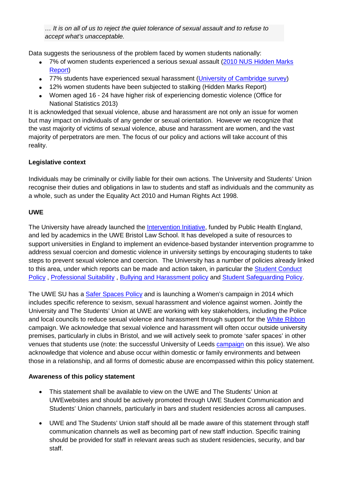*… It is on all of us to reject the quiet tolerance of sexual assault and to refuse to accept what's unacceptable.*

Data suggests the seriousness of the problem faced by women students nationally:

- 7% of women students experienced a serious sexual assault (2010 NUS Hidden Marks [Report\)](http://www.nus.org.uk/Global/NUS_hidden_marks_report_2nd_edition_web.pdf)
- 77% students have experienced sexual harassment [\(University of Cambridge survey\)](http://www.varsity.co.uk/news/7123)
- 12% women students have been subjected to stalking (Hidden Marks Report)
- Women aged 16 24 have higher risk of experiencing domestic violence (Office for National Statistics 2013)

It is acknowledged that sexual violence, abuse and harassment are not only an issue for women but may impact on individuals of any gender or sexual orientation. However we recognize that the vast majority of victims of sexual violence, abuse and harassment are women, and the vast majority of perpetrators are men. The focus of our policy and actions will take account of this reality.

### **Legislative context**

Individuals may be criminally or civilly liable for their own actions. The University and Students' Union recognise their duties and obligations in law to students and staff as individuals and the community as a whole, such as under the Equality Act 2010 and Human Rights Act 1998.

#### **UWE**

The University have already launched the [Intervention Initiative,](http://www1.uwe.ac.uk/bl/research/interventioninitiative.aspx) funded by Public Health England, and led by academics in the UWE Bristol Law School. It has developed a suite of resources to support universities in England to implement an evidence-based bystander intervention programme to address sexual coercion and domestic violence in university settings by encouraging students to take steps to prevent sexual violence and coercion. The University has a number of policies already linked to this area, under which reports can be made and action taken, in particular the [Student Conduct](http://www1.uwe.ac.uk/students/academicadvice/studentconductpolicy.aspx)  [Policy](http://www1.uwe.ac.uk/students/academicadvice/studentconductpolicy.aspx) , [Professional Suitability](http://www1.uwe.ac.uk/aboutus/policies) , [Bullying and Harassment policy](http://www1.uwe.ac.uk/aboutus/policies) and [Student Safeguarding Policy.](http://www1.uwe.ac.uk/aboutus/policies)

The UWE SU has a [Safer Spaces Policy](http://www.uwesu.org/union/aboutuwesu/saferspaces/) and is launching a Women's campaign in 2014 which includes specific reference to sexism, sexual harassment and violence against women. Jointly the University and The Students' Union at UWE are working with key stakeholders, including the Police and local councils to reduce sexual violence and harassment through support for the [White Ribbon](http://www.whiteribboncampaign.co.uk/) campaign. We acknowledge that sexual violence and harassment will often occur outside university premises, particularly in clubs in Bristol, and we will actively seek to promote 'safer spaces' in other venues that students use (note: the successful University of Leeds [campaign](http://www.theguardian.com/education/2013/nov/05/sexual-harassment-clubs-students) on this issue). We also acknowledge that violence and abuse occur within domestic or family environments and between those in a relationship, and all forms of domestic abuse are encompassed within this policy statement.

### **Awareness of this policy statement**

- This statement shall be available to view on the UWE and The Students' Union at UWEwebsites and should be actively promoted through UWE Student Communication and Students' Union channels, particularly in bars and student residencies across all campuses.
- UWE and The Students' Union staff should all be made aware of this statement through staff communication channels as well as becoming part of new staff induction. Specific training should be provided for staff in relevant areas such as student residencies, security, and bar staff.